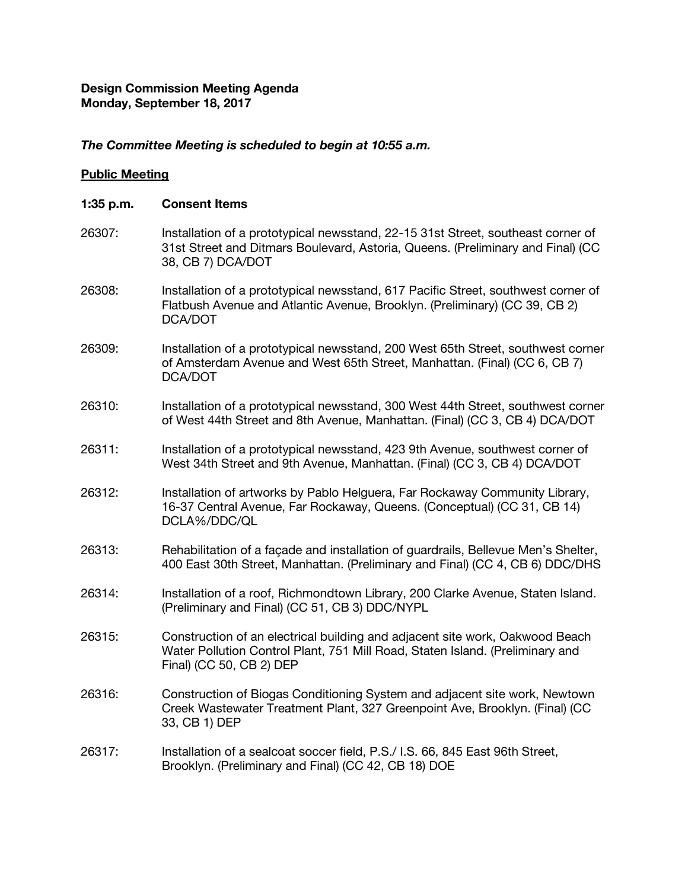# **Design Commission Meeting Agenda Monday, September 18, 2017**

## *The Committee Meeting is scheduled to begin at 10:55 a.m.*

## **Public Meeting**

#### **1:35 p.m. Consent Items**

- 26307: Installation of a prototypical newsstand, 22-15 31st Street, southeast corner of 31st Street and Ditmars Boulevard, Astoria, Queens. (Preliminary and Final) (CC 38, CB 7) DCA/DOT
- 26308: Installation of a prototypical newsstand, 617 Pacific Street, southwest corner of Flatbush Avenue and Atlantic Avenue, Brooklyn. (Preliminary) (CC 39, CB 2) DCA/DOT
- 26309: Installation of a prototypical newsstand, 200 West 65th Street, southwest corner of Amsterdam Avenue and West 65th Street, Manhattan. (Final) (CC 6, CB 7) DCA/DOT
- 26310: Installation of a prototypical newsstand, 300 West 44th Street, southwest corner of West 44th Street and 8th Avenue, Manhattan. (Final) (CC 3, CB 4) DCA/DOT
- 26311: Installation of a prototypical newsstand, 423 9th Avenue, southwest corner of West 34th Street and 9th Avenue, Manhattan. (Final) (CC 3, CB 4) DCA/DOT
- 26312: Installation of artworks by Pablo Helguera, Far Rockaway Community Library, 16-37 Central Avenue, Far Rockaway, Queens. (Conceptual) (CC 31, CB 14) DCLA%/DDC/QL
- 26313: Rehabilitation of a façade and installation of guardrails, Bellevue Men's Shelter, 400 East 30th Street, Manhattan. (Preliminary and Final) (CC 4, CB 6) DDC/DHS
- 26314: Installation of a roof, Richmondtown Library, 200 Clarke Avenue, Staten Island. (Preliminary and Final) (CC 51, CB 3) DDC/NYPL
- 26315: Construction of an electrical building and adjacent site work, Oakwood Beach Water Pollution Control Plant, 751 Mill Road, Staten Island. (Preliminary and Final) (CC 50, CB 2) DEP
- 26316: Construction of Biogas Conditioning System and adjacent site work, Newtown Creek Wastewater Treatment Plant, 327 Greenpoint Ave, Brooklyn. (Final) (CC 33, CB 1) DEP
- 26317: Installation of a sealcoat soccer field, P.S./ I.S. 66, 845 East 96th Street, Brooklyn. (Preliminary and Final) (CC 42, CB 18) DOE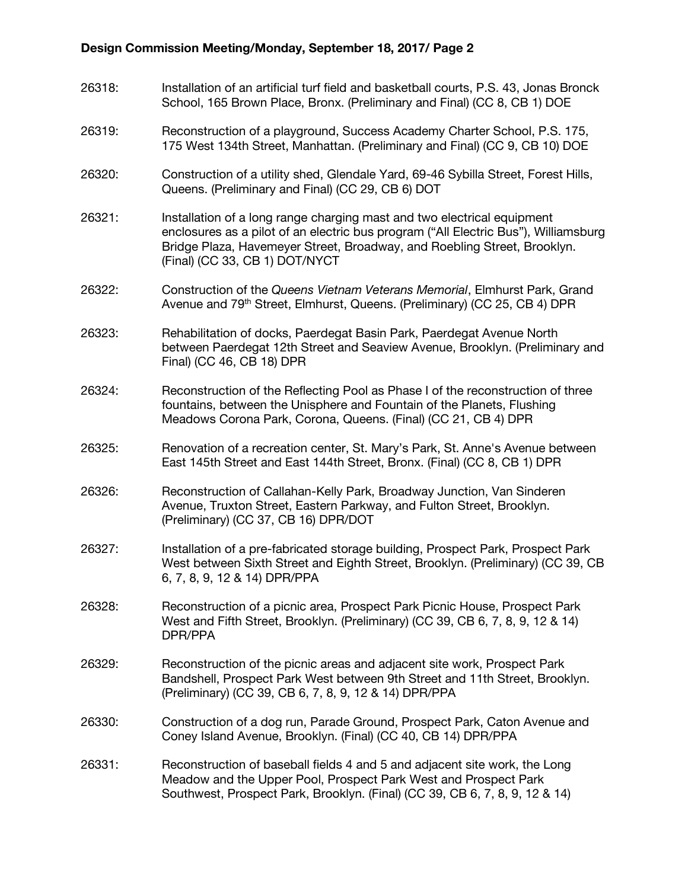# **Design Commission Meeting/Monday, September 18, 2017/ Page 2**

- 26318: Installation of an artificial turf field and basketball courts, P.S. 43, Jonas Bronck School, 165 Brown Place, Bronx. (Preliminary and Final) (CC 8, CB 1) DOE
- 26319: Reconstruction of a playground, Success Academy Charter School, P.S. 175, 175 West 134th Street, Manhattan. (Preliminary and Final) (CC 9, CB 10) DOE
- 26320: Construction of a utility shed, Glendale Yard, 69-46 Sybilla Street, Forest Hills, Queens. (Preliminary and Final) (CC 29, CB 6) DOT
- 26321: Installation of a long range charging mast and two electrical equipment enclosures as a pilot of an electric bus program ("All Electric Bus"), Williamsburg Bridge Plaza, Havemeyer Street, Broadway, and Roebling Street, Brooklyn. (Final) (CC 33, CB 1) DOT/NYCT
- 26322: Construction of the *Queens Vietnam Veterans Memorial*, Elmhurst Park, Grand Avenue and 79<sup>th</sup> Street, Elmhurst, Queens. (Preliminary) (CC 25, CB 4) DPR

26323: Rehabilitation of docks, Paerdegat Basin Park, Paerdegat Avenue North between Paerdegat 12th Street and Seaview Avenue, Brooklyn. (Preliminary and Final) (CC 46, CB 18) DPR

- 26324: Reconstruction of the Reflecting Pool as Phase I of the reconstruction of three fountains, between the Unisphere and Fountain of the Planets, Flushing Meadows Corona Park, Corona, Queens. (Final) (CC 21, CB 4) DPR
- 26325: Renovation of a recreation center, St. Mary's Park, St. Anne's Avenue between East 145th Street and East 144th Street, Bronx. (Final) (CC 8, CB 1) DPR
- 26326: Reconstruction of Callahan-Kelly Park, Broadway Junction, Van Sinderen Avenue, Truxton Street, Eastern Parkway, and Fulton Street, Brooklyn. (Preliminary) (CC 37, CB 16) DPR/DOT
- 26327: Installation of a pre-fabricated storage building, Prospect Park, Prospect Park West between Sixth Street and Eighth Street, Brooklyn. (Preliminary) (CC 39, CB 6, 7, 8, 9, 12 & 14) DPR/PPA
- 26328: Reconstruction of a picnic area, Prospect Park Picnic House, Prospect Park West and Fifth Street, Brooklyn. (Preliminary) (CC 39, CB 6, 7, 8, 9, 12 & 14) DPR/PPA
- 26329: Reconstruction of the picnic areas and adjacent site work, Prospect Park Bandshell, Prospect Park West between 9th Street and 11th Street, Brooklyn. (Preliminary) (CC 39, CB 6, 7, 8, 9, 12 & 14) DPR/PPA
- 26330: Construction of a dog run, Parade Ground, Prospect Park, Caton Avenue and Coney Island Avenue, Brooklyn. (Final) (CC 40, CB 14) DPR/PPA
- 26331: Reconstruction of baseball fields 4 and 5 and adjacent site work, the Long Meadow and the Upper Pool, Prospect Park West and Prospect Park Southwest, Prospect Park, Brooklyn. (Final) (CC 39, CB 6, 7, 8, 9, 12 & 14)